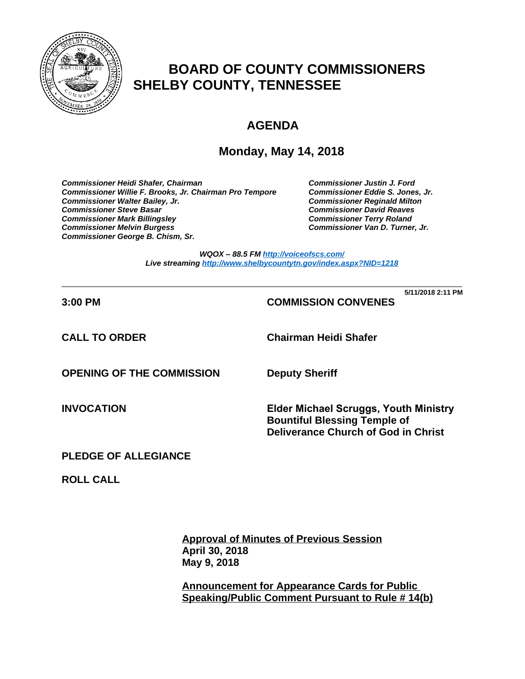

# **BOARD OF COUNTY COMMISSIONERS SHELBY COUNTY, TENNESSEE**

# **AGENDA**

## **Monday, May 14, 2018**

*Commissioner Heidi Shafer, Chairman Commissioner Justin J. Ford* Commissioner Willie F. Brooks, Jr. Chairman Pro Tempore *Commissioner Walter Bailey, Jr. Commissioner Reginald Milton Commissioner Mark Billingsley Commissioner Terry Roland* **Commissioner Melvin Burgess** *Commissioner George B. Chism, Sr.*

**Commissioner David Reaves** 

**5/11/2018 2:11 PM**

*WQOX – 88.5 FM <http://voiceofscs.com/> Live streaming <http://www.shelbycountytn.gov/index.aspx?NID=1218>*

**\_\_\_\_\_\_\_\_\_\_\_\_\_\_\_\_\_\_\_\_\_\_\_\_\_\_\_\_\_\_\_\_\_\_\_\_\_\_\_\_\_\_\_\_\_\_\_\_\_\_\_\_\_\_\_\_\_\_\_\_\_\_\_\_\_\_\_\_\_\_**

## **3:00 PM COMMISSION CONVENES**

**CALL TO ORDER Chairman Heidi Shafer**

**OPENING OF THE COMMISSION Deputy Sheriff**

**INVOCATION Elder Michael Scruggs, Youth Ministry Bountiful Blessing Temple of Deliverance Church of God in Christ**

## **PLEDGE OF ALLEGIANCE**

**ROLL CALL**

**Approval of Minutes of Previous Session April 30, 2018 May 9, 2018**

**Announcement for Appearance Cards for Public Speaking/Public Comment Pursuant to Rule # 14(b)**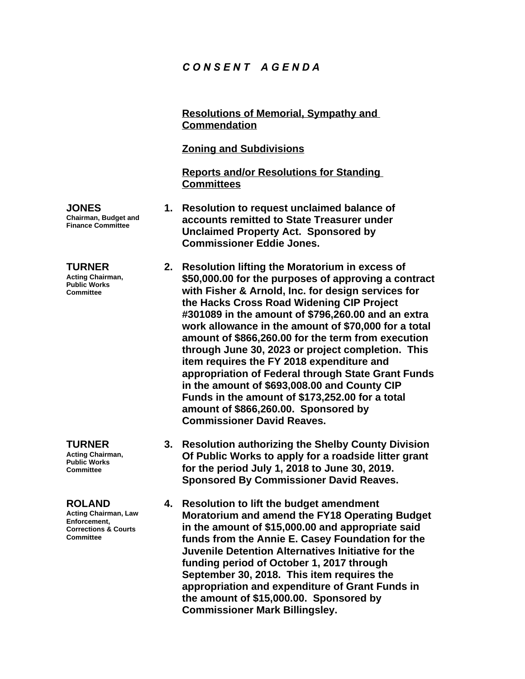## *C O N S E N T A G E N D A*

**Resolutions of Memorial, Sympathy and Commendation**

### **Zoning and Subdivisions**

**Reports and/or Resolutions for Standing Committees**

- **JONES Chairman, Budget and Finance Committee**
- **TURNER**

**Acting Chairman, Public Works Committee**

**TURNER Acting Chairman, Public Works Committee**

#### **ROLAND**

**Acting Chairman, Law Enforcement, Corrections & Courts Committee**

- **1. Resolution to request unclaimed balance of accounts remitted to State Treasurer under Unclaimed Property Act. Sponsored by Commissioner Eddie Jones.**
	- **2. Resolution lifting the Moratorium in excess of \$50,000.00 for the purposes of approving a contract with Fisher & Arnold, Inc. for design services for the Hacks Cross Road Widening CIP Project #301089 in the amount of \$796,260.00 and an extra work allowance in the amount of \$70,000 for a total amount of \$866,260.00 for the term from execution through June 30, 2023 or project completion. This item requires the FY 2018 expenditure and appropriation of Federal through State Grant Funds in the amount of \$693,008.00 and County CIP Funds in the amount of \$173,252.00 for a total amount of \$866,260.00. Sponsored by Commissioner David Reaves.**
		- **3. Resolution authorizing the Shelby County Division Of Public Works to apply for a roadside litter grant for the period July 1, 2018 to June 30, 2019. Sponsored By Commissioner David Reaves.**
		- **4. Resolution to lift the budget amendment Moratorium and amend the FY18 Operating Budget in the amount of \$15,000.00 and appropriate said funds from the Annie E. Casey Foundation for the Juvenile Detention Alternatives Initiative for the funding period of October 1, 2017 through September 30, 2018. This item requires the appropriation and expenditure of Grant Funds in the amount of \$15,000.00. Sponsored by Commissioner Mark Billingsley.**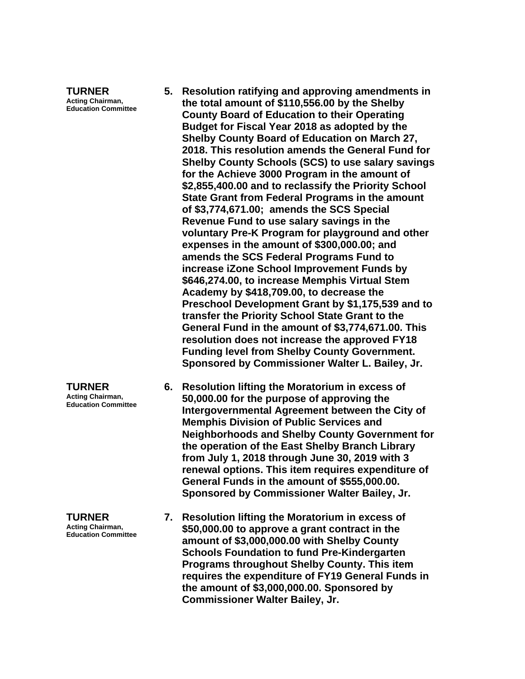**TURNER Acting Chairman, Education Committee**

- **5. Resolution ratifying and approving amendments in the total amount of \$110,556.00 by the Shelby County Board of Education to their Operating Budget for Fiscal Year 2018 as adopted by the Shelby County Board of Education on March 27, 2018. This resolution amends the General Fund for Shelby County Schools (SCS) to use salary savings for the Achieve 3000 Program in the amount of \$2,855,400.00 and to reclassify the Priority School State Grant from Federal Programs in the amount of \$3,774,671.00; amends the SCS Special Revenue Fund to use salary savings in the voluntary Pre-K Program for playground and other expenses in the amount of \$300,000.00; and amends the SCS Federal Programs Fund to increase iZone School Improvement Funds by \$646,274.00, to increase Memphis Virtual Stem Academy by \$418,709.00, to decrease the Preschool Development Grant by \$1,175,539 and to transfer the Priority School State Grant to the General Fund in the amount of \$3,774,671.00. This resolution does not increase the approved FY18 Funding level from Shelby County Government. Sponsored by Commissioner Walter L. Bailey, Jr.**
- **6. Resolution lifting the Moratorium in excess of 50,000.00 for the purpose of approving the Intergovernmental Agreement between the City of Memphis Division of Public Services and Neighborhoods and Shelby County Government for the operation of the East Shelby Branch Library from July 1, 2018 through June 30, 2019 with 3 renewal options. This item requires expenditure of General Funds in the amount of \$555,000.00. Sponsored by Commissioner Walter Bailey, Jr.**
- **7. Resolution lifting the Moratorium in excess of \$50,000.00 to approve a grant contract in the amount of \$3,000,000.00 with Shelby County Schools Foundation to fund Pre-Kindergarten Programs throughout Shelby County. This item requires the expenditure of FY19 General Funds in the amount of \$3,000,000.00. Sponsored by Commissioner Walter Bailey, Jr.**

**TURNER Acting Chairman, Education Committee**

**TURNER Acting Chairman, Education Committee**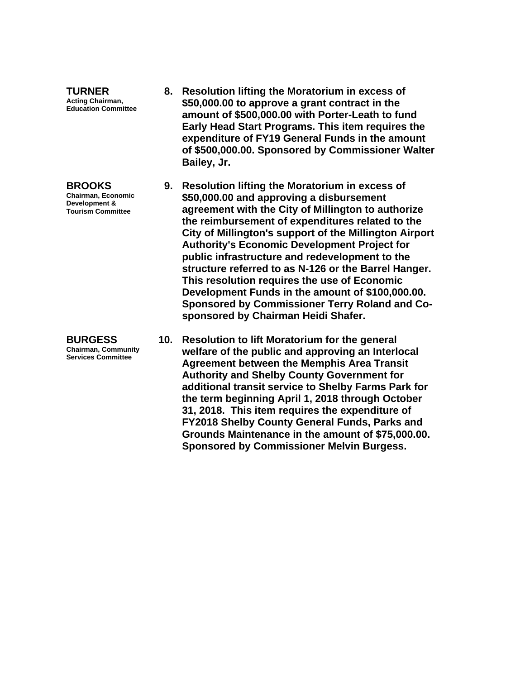**TURNER Acting Chairman, Education Committee**

**BROOKS Chairman, Economic Development & Tourism Committee**

**BURGESS Chairman, Community Services Committee**

- **8. Resolution lifting the Moratorium in excess of \$50,000.00 to approve a grant contract in the amount of \$500,000.00 with Porter-Leath to fund Early Head Start Programs. This item requires the expenditure of FY19 General Funds in the amount of \$500,000.00. Sponsored by Commissioner Walter Bailey, Jr.**
- **9. Resolution lifting the Moratorium in excess of \$50,000.00 and approving a disbursement agreement with the City of Millington to authorize the reimbursement of expenditures related to the City of Millington's support of the Millington Airport Authority's Economic Development Project for public infrastructure and redevelopment to the structure referred to as N-126 or the Barrel Hanger. This resolution requires the use of Economic Development Funds in the amount of \$100,000.00. Sponsored by Commissioner Terry Roland and Cosponsored by Chairman Heidi Shafer.**
- **10. Resolution to lift Moratorium for the general welfare of the public and approving an Interlocal Agreement between the Memphis Area Transit Authority and Shelby County Government for additional transit service to Shelby Farms Park for the term beginning April 1, 2018 through October 31, 2018. This item requires the expenditure of FY2018 Shelby County General Funds, Parks and Grounds Maintenance in the amount of \$75,000.00. Sponsored by Commissioner Melvin Burgess.**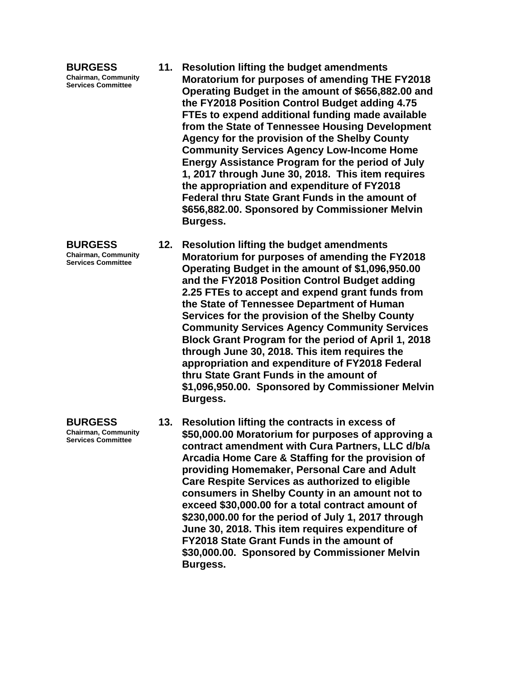**BURGESS Chairman, Community Services Committee**

**BURGESS Chairman, Community** 

**Services Committee**

**BURGESS Chairman, Community Services Committee**

- **11. Resolution lifting the budget amendments Moratorium for purposes of amending THE FY2018 Operating Budget in the amount of \$656,882.00 and the FY2018 Position Control Budget adding 4.75 FTEs to expend additional funding made available from the State of Tennessee Housing Development Agency for the provision of the Shelby County Community Services Agency Low-Income Home Energy Assistance Program for the period of July 1, 2017 through June 30, 2018. This item requires the appropriation and expenditure of FY2018 Federal thru State Grant Funds in the amount of \$656,882.00. Sponsored by Commissioner Melvin Burgess.**
- **12. Resolution lifting the budget amendments Moratorium for purposes of amending the FY2018 Operating Budget in the amount of \$1,096,950.00 and the FY2018 Position Control Budget adding 2.25 FTEs to accept and expend grant funds from the State of Tennessee Department of Human Services for the provision of the Shelby County Community Services Agency Community Services Block Grant Program for the period of April 1, 2018 through June 30, 2018. This item requires the appropriation and expenditure of FY2018 Federal thru State Grant Funds in the amount of \$1,096,950.00. Sponsored by Commissioner Melvin Burgess.**
	- **13. Resolution lifting the contracts in excess of \$50,000.00 Moratorium for purposes of approving a contract amendment with Cura Partners, LLC d/b/a Arcadia Home Care & Staffing for the provision of providing Homemaker, Personal Care and Adult Care Respite Services as authorized to eligible consumers in Shelby County in an amount not to exceed \$30,000.00 for a total contract amount of \$230,000.00 for the period of July 1, 2017 through June 30, 2018. This item requires expenditure of FY2018 State Grant Funds in the amount of \$30,000.00. Sponsored by Commissioner Melvin Burgess.**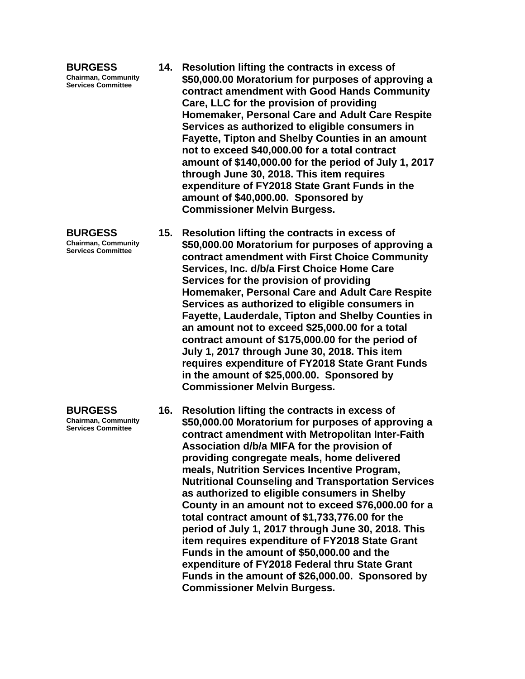**BURGESS Chairman, Community Services Committee**

- **BURGESS Chairman, Community**
- **Services Committee**

**BURGESS Chairman, Community Services Committee**

- **14. Resolution lifting the contracts in excess of \$50,000.00 Moratorium for purposes of approving a contract amendment with Good Hands Community Care, LLC for the provision of providing Homemaker, Personal Care and Adult Care Respite Services as authorized to eligible consumers in Fayette, Tipton and Shelby Counties in an amount not to exceed \$40,000.00 for a total contract amount of \$140,000.00 for the period of July 1, 2017 through June 30, 2018. This item requires expenditure of FY2018 State Grant Funds in the amount of \$40,000.00. Sponsored by Commissioner Melvin Burgess.**
- **15. Resolution lifting the contracts in excess of \$50,000.00 Moratorium for purposes of approving a contract amendment with First Choice Community Services, Inc. d/b/a First Choice Home Care Services for the provision of providing Homemaker, Personal Care and Adult Care Respite Services as authorized to eligible consumers in Fayette, Lauderdale, Tipton and Shelby Counties in an amount not to exceed \$25,000.00 for a total contract amount of \$175,000.00 for the period of July 1, 2017 through June 30, 2018. This item requires expenditure of FY2018 State Grant Funds in the amount of \$25,000.00. Sponsored by Commissioner Melvin Burgess.**
- **16. Resolution lifting the contracts in excess of \$50,000.00 Moratorium for purposes of approving a contract amendment with Metropolitan Inter-Faith Association d/b/a MIFA for the provision of providing congregate meals, home delivered meals, Nutrition Services Incentive Program, Nutritional Counseling and Transportation Services as authorized to eligible consumers in Shelby County in an amount not to exceed \$76,000.00 for a total contract amount of \$1,733,776.00 for the period of July 1, 2017 through June 30, 2018. This item requires expenditure of FY2018 State Grant Funds in the amount of \$50,000.00 and the expenditure of FY2018 Federal thru State Grant Funds in the amount of \$26,000.00. Sponsored by Commissioner Melvin Burgess.**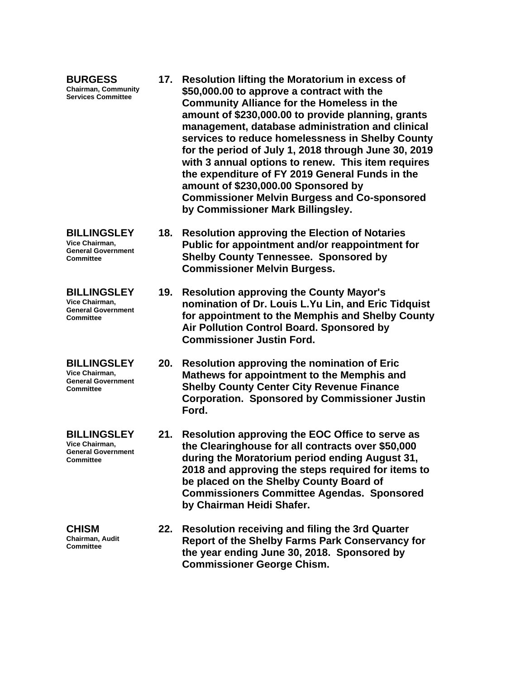| <b>BURGESS</b><br><b>Chairman, Community</b><br><b>Services Committee</b>             | 17. | <b>Resolution lifting the Moratorium in excess of</b><br>\$50,000.00 to approve a contract with the<br><b>Community Alliance for the Homeless in the</b><br>amount of \$230,000.00 to provide planning, grants<br>management, database administration and clinical<br>services to reduce homelessness in Shelby County<br>for the period of July 1, 2018 through June 30, 2019<br>with 3 annual options to renew. This item requires<br>the expenditure of FY 2019 General Funds in the<br>amount of \$230,000.00 Sponsored by<br><b>Commissioner Melvin Burgess and Co-sponsored</b><br>by Commissioner Mark Billingsley. |
|---------------------------------------------------------------------------------------|-----|----------------------------------------------------------------------------------------------------------------------------------------------------------------------------------------------------------------------------------------------------------------------------------------------------------------------------------------------------------------------------------------------------------------------------------------------------------------------------------------------------------------------------------------------------------------------------------------------------------------------------|
| <b>BILLINGSLEY</b><br>Vice Chairman,<br><b>General Government</b><br><b>Committee</b> | 18. | <b>Resolution approving the Election of Notaries</b><br>Public for appointment and/or reappointment for<br><b>Shelby County Tennessee. Sponsored by</b><br><b>Commissioner Melvin Burgess.</b>                                                                                                                                                                                                                                                                                                                                                                                                                             |
| <b>BILLINGSLEY</b><br>Vice Chairman.<br><b>General Government</b><br>Committee        | 19. | <b>Resolution approving the County Mayor's</b><br>nomination of Dr. Louis L.Yu Lin, and Eric Tidquist<br>for appointment to the Memphis and Shelby County<br>Air Pollution Control Board. Sponsored by<br><b>Commissioner Justin Ford.</b>                                                                                                                                                                                                                                                                                                                                                                                 |
| <b>BILLINGSLEY</b><br>Vice Chairman,<br><b>General Government</b><br><b>Committee</b> | 20. | <b>Resolution approving the nomination of Eric</b><br>Mathews for appointment to the Memphis and<br><b>Shelby County Center City Revenue Finance</b><br><b>Corporation. Sponsored by Commissioner Justin</b><br>Ford.                                                                                                                                                                                                                                                                                                                                                                                                      |
| <b>BILLINGSLEY</b><br>Vice Chairman.<br><b>General Government</b><br><b>Committee</b> | 21. | Resolution approving the EOC Office to serve as<br>the Clearinghouse for all contracts over \$50,000<br>during the Moratorium period ending August 31,<br>2018 and approving the steps required for items to                                                                                                                                                                                                                                                                                                                                                                                                               |

**CHISM Chairman, Audit Committee**

**22. Resolution receiving and filing the 3rd Quarter Report of the Shelby Farms Park Conservancy for the year ending June 30, 2018. Sponsored by Commissioner George Chism.**

**be placed on the Shelby County Board of** 

**by Chairman Heidi Shafer.**

**Commissioners Committee Agendas. Sponsored**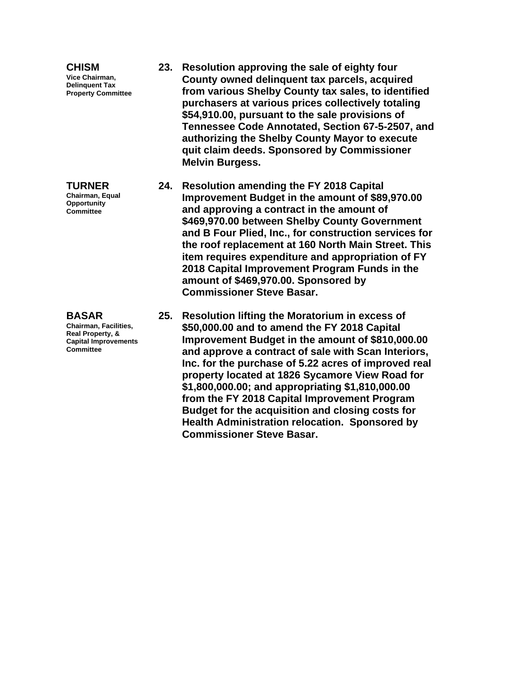| <b>CHISM</b><br>Vice Chairman,<br><b>Delinquent Tax</b><br><b>Property Committee</b>                         |     | 23. Resolution approving the sale of eighty four<br>County owned delinquent tax parcels, acquired<br>from various Shelby County tax sales, to identified<br>purchasers at various prices collectively totaling<br>\$54,910.00, pursuant to the sale provisions of<br>Tennessee Code Annotated, Section 67-5-2507, and<br>authorizing the Shelby County Mayor to execute<br>quit claim deeds. Sponsored by Commissioner<br><b>Melvin Burgess.</b>                                               |
|--------------------------------------------------------------------------------------------------------------|-----|------------------------------------------------------------------------------------------------------------------------------------------------------------------------------------------------------------------------------------------------------------------------------------------------------------------------------------------------------------------------------------------------------------------------------------------------------------------------------------------------|
| <b>TURNER</b><br>Chairman, Equal<br>Opportunity<br><b>Committee</b>                                          |     | 24. Resolution amending the FY 2018 Capital<br>Improvement Budget in the amount of \$89,970.00<br>and approving a contract in the amount of<br>\$469,970.00 between Shelby County Government<br>and B Four Plied, Inc., for construction services for<br>the roof replacement at 160 North Main Street. This<br>item requires expenditure and appropriation of FY<br>2018 Capital Improvement Program Funds in the<br>amount of \$469,970.00. Sponsored by<br><b>Commissioner Steve Basar.</b> |
| <b>BASAR</b><br>Chairman, Facilities,<br>Real Property, &<br><b>Capital Improvements</b><br><b>Committee</b> | 25. | <b>Resolution lifting the Moratorium in excess of</b><br>\$50,000.00 and to amend the FY 2018 Capital<br>Improvement Budget in the amount of \$810,000.00<br>and approve a contract of sale with Scan Interiors,<br>Inc. for the purchase of 5.22 acres of improved real<br>property located at 1826 Sycamore View Road for<br>\$1,800,000.00; and appropriating \$1,810,000.00<br>from the FY 2018 Capital Improvement Program<br>Budget for the acquisition and closing costs for            |

**Commissioner Steve Basar.**

**Health Administration relocation. Sponsored by**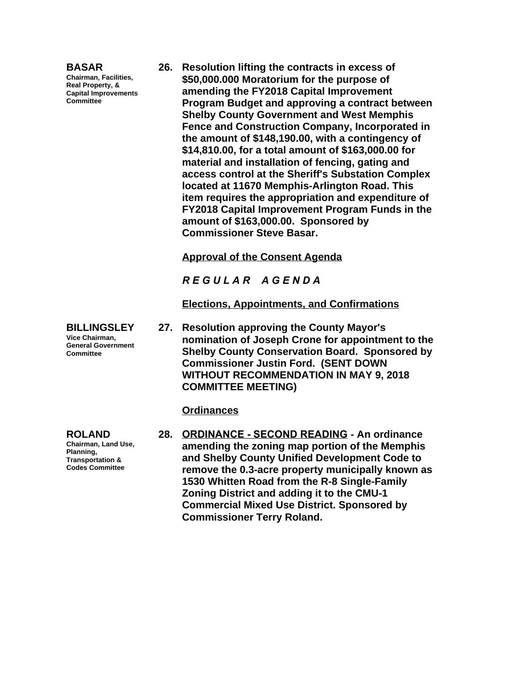#### **BASAR**

**Chairman, Facilities, Real Property, & Capital Improvements Committee**

**26. Resolution lifting the contracts in excess of \$50,000.000 Moratorium for the purpose of amending the FY2018 Capital Improvement Program Budget and approving a contract between Shelby County Government and West Memphis Fence and Construction Company, Incorporated in the amount of \$148,190.00, with a contingency of \$14,810.00, for a total amount of \$163,000.00 for material and installation of fencing, gating and access control at the Sheriff's Substation Complex located at 11670 Memphis-Arlington Road. This item requires the appropriation and expenditure of FY2018 Capital Improvement Program Funds in the amount of \$163,000.00. Sponsored by Commissioner Steve Basar.**

**Approval of the Consent Agenda**

*R E G U L A R A G E N D A*

**Elections, Appointments, and Confirmations**

**27. Resolution approving the County Mayor's nomination of Joseph Crone for appointment to the Shelby County Conservation Board. Sponsored by Commissioner Justin Ford. (SENT DOWN WITHOUT RECOMMENDATION IN MAY 9, 2018 COMMITTEE MEETING)**

### **Ordinances**

**28. ORDINANCE - SECOND READING - An ordinance amending the zoning map portion of the Memphis and Shelby County Unified Development Code to remove the 0.3-acre property municipally known as 1530 Whitten Road from the R-8 Single-Family Zoning District and adding it to the CMU-1 Commercial Mixed Use District. Sponsored by Commissioner Terry Roland.**

**BILLINGSLEY Vice Chairman, General Government Committee**

**ROLAND Chairman, Land Use, Planning, Transportation & Codes Committee**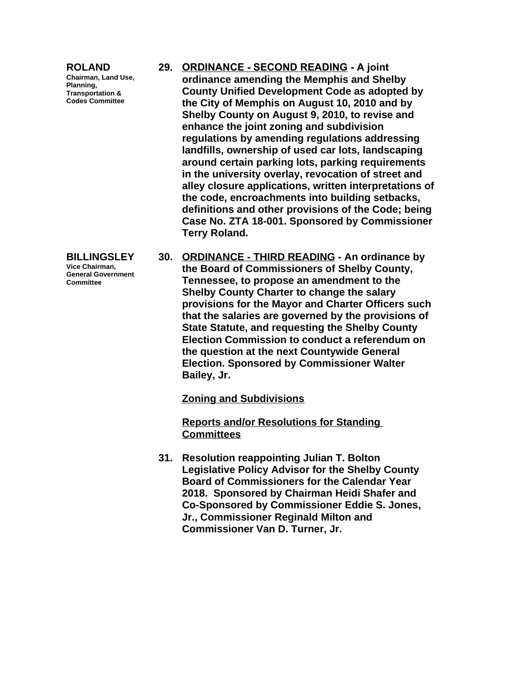#### **ROLAND**

**Chairman, Land Use, Planning, Transportation & Codes Committee**

- **29. ORDINANCE SECOND READING A joint ordinance amending the Memphis and Shelby County Unified Development Code as adopted by the City of Memphis on August 10, 2010 and by Shelby County on August 9, 2010, to revise and enhance the joint zoning and subdivision regulations by amending regulations addressing landfills, ownership of used car lots, landscaping around certain parking lots, parking requirements in the university overlay, revocation of street and alley closure applications, written interpretations of the code, encroachments into building setbacks, definitions and other provisions of the Code; being Case No. ZTA 18-001. Sponsored by Commissioner Terry Roland.**
- **30. ORDINANCE THIRD READING An ordinance by the Board of Commissioners of Shelby County, Tennessee, to propose an amendment to the Shelby County Charter to change the salary provisions for the Mayor and Charter Officers such that the salaries are governed by the provisions of State Statute, and requesting the Shelby County Election Commission to conduct a referendum on the question at the next Countywide General Election. Sponsored by Commissioner Walter Bailey, Jr.**

**Zoning and Subdivisions**

**Reports and/or Resolutions for Standing Committees**

**31. Resolution reappointing Julian T. Bolton Legislative Policy Advisor for the Shelby County Board of Commissioners for the Calendar Year 2018. Sponsored by Chairman Heidi Shafer and Co-Sponsored by Commissioner Eddie S. Jones, Jr., Commissioner Reginald Milton and Commissioner Van D. Turner, Jr.**

**BILLINGSLEY Vice Chairman, General Government Committee**